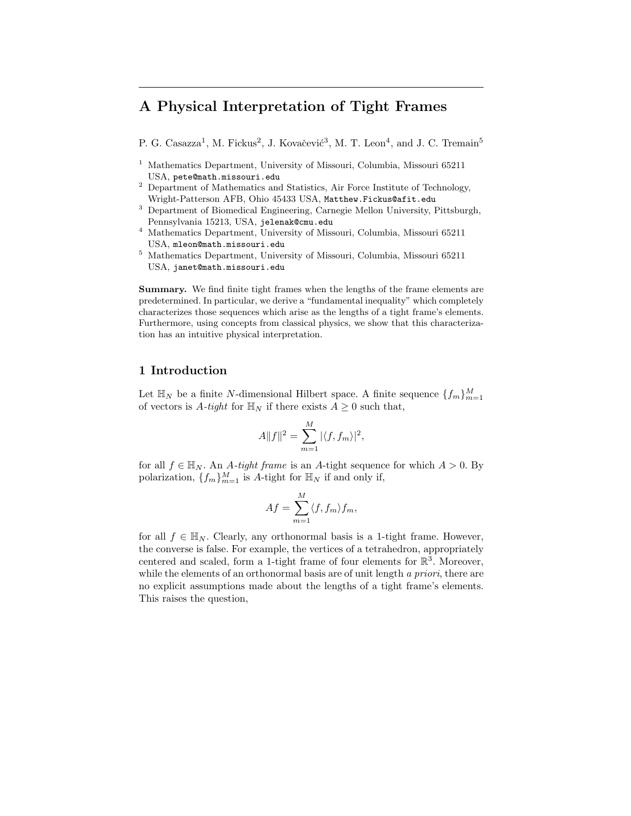# **A Physical Interpretation of Tight Frames**

- P. G. Casazza<sup>1</sup>, M. Fickus<sup>2</sup>, J. Kovačević<sup>3</sup>, M. T. Leon<sup>4</sup>, and J. C. Tremain<sup>5</sup>
- <sup>1</sup> Mathematics Department, University of Missouri, Columbia, Missouri 65211 USA, pete@math.missouri.edu
- <sup>2</sup> Department of Mathematics and Statistics, Air Force Institute of Technology, Wright-Patterson AFB, Ohio 45433 USA, Matthew.Fickus@afit.edu
- <sup>3</sup> Department of Biomedical Engineering, Carnegie Mellon University, Pittsburgh, Pennsylvania 15213, USA, jelenak@cmu.edu
- <sup>4</sup> Mathematics Department, University of Missouri, Columbia, Missouri 65211 USA, mleon@math.missouri.edu
- <sup>5</sup> Mathematics Department, University of Missouri, Columbia, Missouri 65211 USA, janet@math.missouri.edu

**Summary.** We find finite tight frames when the lengths of the frame elements are predetermined. In particular, we derive a "fundamental inequality" which completely characterizes those sequences which arise as the lengths of a tight frame's elements. Furthermore, using concepts from classical physics, we show that this characterization has an intuitive physical interpretation.

## **1 Introduction**

Let  $\mathbb{H}_N$  be a finite N-dimensional Hilbert space. A finite sequence  $\{f_m\}_{m=1}^M$ of vectors is A-tight for  $\mathbb{H}_N$  if there exists  $A \geq 0$  such that,

$$
A||f||^2 = \sum_{m=1}^{M} |\langle f, f_m \rangle|^2,
$$

for all  $f \in \mathbb{H}_N$ . An A-tight frame is an A-tight sequence for which  $A > 0$ . By polarization,  $\{f_m\}_{m=1}^M$  is A-tight for  $\mathbb{H}_N$  if and only if,

$$
Af = \sum_{m=1}^{M} \langle f, f_m \rangle f_m,
$$

for all  $f \in \mathbb{H}_N$ . Clearly, any orthonormal basis is a 1-tight frame. However, the converse is false. For example, the vertices of a tetrahedron, appropriately centered and scaled, form a 1-tight frame of four elements for  $\mathbb{R}^3$ . Moreover, while the elements of an orthonormal basis are of unit length *a priori*, there are no explicit assumptions made about the lengths of a tight frame's elements. This raises the question,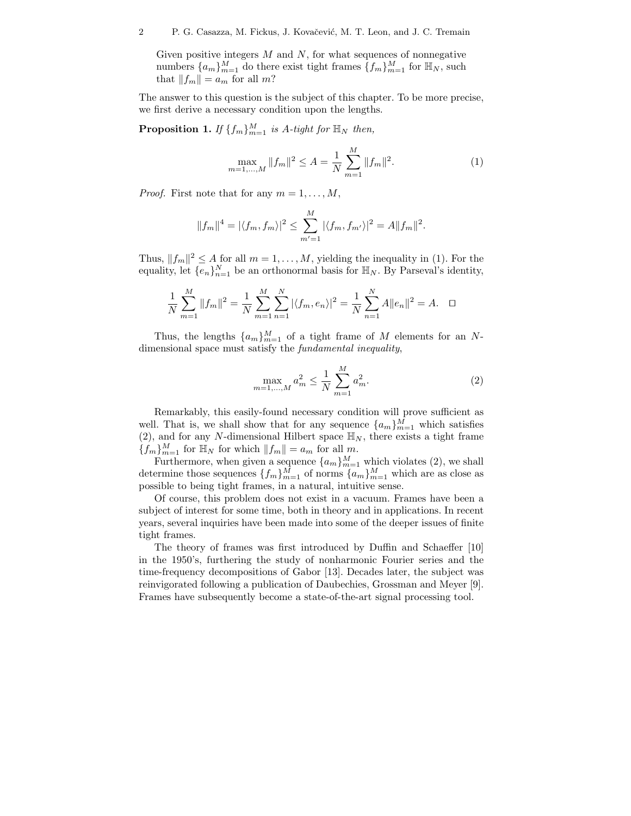Given positive integers  $M$  and  $N$ , for what sequences of nonnegative numbers  $\{a_m\}_{m=1}^M$  do there exist tight frames  $\{f_m\}_{m=1}^M$  for  $\mathbb{H}_N$ , such that  $||f_m|| = a_m$  for all m?

The answer to this question is the subject of this chapter. To be more precise, we first derive a necessary condition upon the lengths.

**Proposition 1.** *If*  $\{f_m\}_{m=1}^M$  *is* A-tight for  $\mathbb{H}_N$  then,

$$
\max_{m=1,\dots,M} \|f_m\|^2 \le A = \frac{1}{N} \sum_{m=1}^M \|f_m\|^2.
$$
 (1)

*Proof.* First note that for any  $m = 1, \ldots, M$ ,

$$
||f_m||^4 = |\langle f_m, f_m \rangle|^2 \le \sum_{m'=1}^M |\langle f_m, f_{m'} \rangle|^2 = A ||f_m||^2.
$$

Thus,  $||f_m||^2 \le A$  for all  $m = 1, ..., M$ , yielding the inequality in (1). For the equality, let  $\{e_n\}_{n=1}^N$  be an orthonormal basis for  $\mathbb{H}_N$ . By Parseval's identity,

$$
\frac{1}{N}\sum_{m=1}^{M}||f_m||^2 = \frac{1}{N}\sum_{m=1}^{M}\sum_{n=1}^{N}|\langle f_m, e_n \rangle|^2 = \frac{1}{N}\sum_{n=1}^{N}A||e_n||^2 = A. \quad \Box
$$

Thus, the lengths  $\{a_m\}_{m=1}^M$  of a tight frame of M elements for an Ndimensional space must satisfy the *fundamental inequality*,

$$
\max_{m=1,\dots,M} a_m^2 \le \frac{1}{N} \sum_{m=1}^M a_m^2.
$$
 (2)

Remarkably, this easily-found necessary condition will prove sufficient as well. That is, we shall show that for any sequence  $\{a_m\}_{m=1}^M$  which satisfies (2), and for any N-dimensional Hilbert space  $\mathbb{H}_N$ , there exists a tight frame  ${f_m}_{m=1}^M$  for  $\mathbb{H}_N$  for which  $||f_m|| = a_m$  for all m.

Furthermore, when given a sequence  $\{a_m\}_{m=1}^M$  which violates (2), we shall determine those sequences  $\{f_m\}_{m=1}^M$  of norms  $\{a_m\}_{m=1}^M$  which are as close as possible to being tight frames, in a natural, intuitive sense.

Of course, this problem does not exist in a vacuum. Frames have been a subject of interest for some time, both in theory and in applications. In recent years, several inquiries have been made into some of the deeper issues of finite tight frames.

The theory of frames was first introduced by Duffin and Schaeffer [10] in the 1950's, furthering the study of nonharmonic Fourier series and the time-frequency decompositions of Gabor [13]. Decades later, the subject was reinvigorated following a publication of Daubechies, Grossman and Meyer [9]. Frames have subsequently become a state-of-the-art signal processing tool.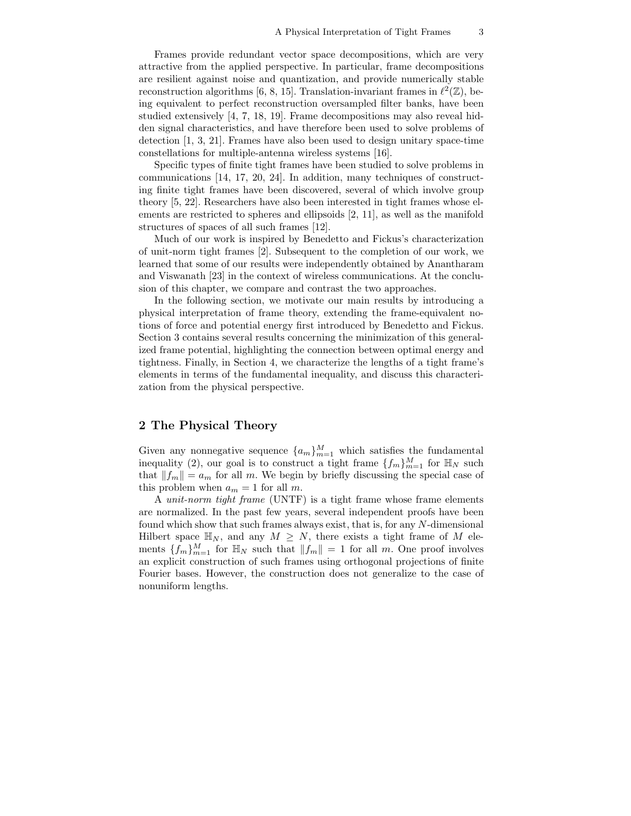Frames provide redundant vector space decompositions, which are very attractive from the applied perspective. In particular, frame decompositions are resilient against noise and quantization, and provide numerically stable reconstruction algorithms [6, 8, 15]. Translation-invariant frames in  $\ell^2(\mathbb{Z})$ , being equivalent to perfect reconstruction oversampled filter banks, have been studied extensively [4, 7, 18, 19]. Frame decompositions may also reveal hidden signal characteristics, and have therefore been used to solve problems of detection [1, 3, 21]. Frames have also been used to design unitary space-time constellations for multiple-antenna wireless systems [16].

Specific types of finite tight frames have been studied to solve problems in communications [14, 17, 20, 24]. In addition, many techniques of constructing finite tight frames have been discovered, several of which involve group theory [5, 22]. Researchers have also been interested in tight frames whose elements are restricted to spheres and ellipsoids [2, 11], as well as the manifold structures of spaces of all such frames [12].

Much of our work is inspired by Benedetto and Fickus's characterization of unit-norm tight frames [2]. Subsequent to the completion of our work, we learned that some of our results were independently obtained by Anantharam and Viswanath [23] in the context of wireless communications. At the conclusion of this chapter, we compare and contrast the two approaches.

In the following section, we motivate our main results by introducing a physical interpretation of frame theory, extending the frame-equivalent notions of force and potential energy first introduced by Benedetto and Fickus. Section 3 contains several results concerning the minimization of this generalized frame potential, highlighting the connection between optimal energy and tightness. Finally, in Section 4, we characterize the lengths of a tight frame's elements in terms of the fundamental inequality, and discuss this characterization from the physical perspective.

### **2 The Physical Theory**

Given any nonnegative sequence  $\{a_m\}_{m=1}^M$  which satisfies the fundamental inequality (2), our goal is to construct a tight frame  $\{f_m\}_{m=1}^M$  for  $\mathbb{H}_N$  such that  $||f_m|| = a_m$  for all m. We begin by briefly discussing the special case of this problem when  $a_m = 1$  for all m.

A *unit-norm tight frame* (UNTF) is a tight frame whose frame elements are normalized. In the past few years, several independent proofs have been found which show that such frames always exist, that is, for any N-dimensional Hilbert space  $\mathbb{H}_N$ , and any  $M \geq N$ , there exists a tight frame of M elements  $\{f_m\}_{m=1}^M$  for  $\mathbb{H}_N$  such that  $||f_m|| = 1$  for all m. One proof involves an explicit construction of such frames using orthogonal projections of finite Fourier bases. However, the construction does not generalize to the case of nonuniform lengths.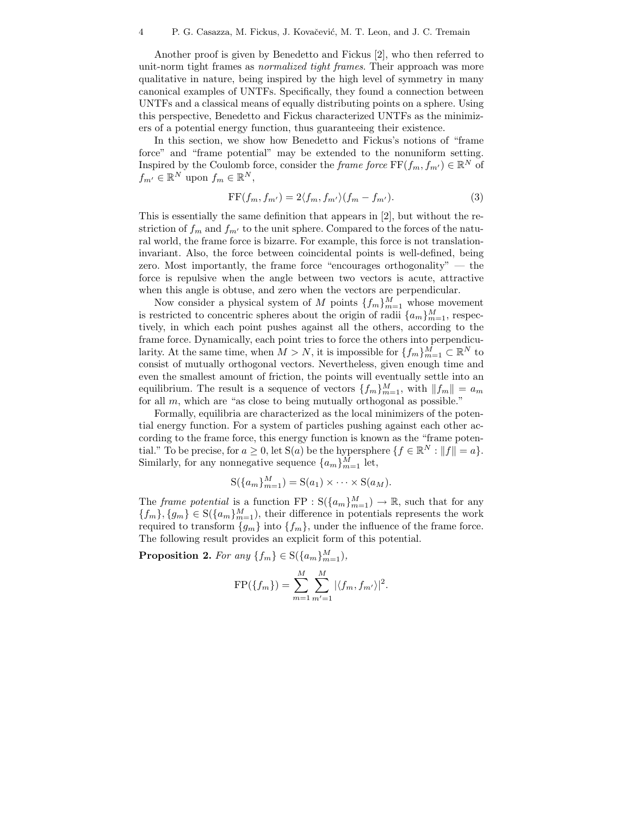Another proof is given by Benedetto and Fickus [2], who then referred to unit-norm tight frames as *normalized tight frames*. Their approach was more qualitative in nature, being inspired by the high level of symmetry in many canonical examples of UNTFs. Specifically, they found a connection between UNTFs and a classical means of equally distributing points on a sphere. Using this perspective, Benedetto and Fickus characterized UNTFs as the minimizers of a potential energy function, thus guaranteeing their existence.

In this section, we show how Benedetto and Fickus's notions of "frame force" and "frame potential" may be extended to the nonuniform setting. Inspired by the Coulomb force, consider the *frame force*  $\text{FF}(f_m, f_{m'}) \in \mathbb{R}^N$  of  $f_{m'} \in \mathbb{R}^N$  upon  $f_m \in \mathbb{R}^N$ ,

$$
FF(f_m, f_{m'}) = 2\langle f_m, f_{m'} \rangle (f_m - f_{m'}).
$$
\n(3)

This is essentially the same definition that appears in [2], but without the restriction of  $f_m$  and  $f_{m'}$  to the unit sphere. Compared to the forces of the natural world, the frame force is bizarre. For example, this force is not translationinvariant. Also, the force between coincidental points is well-defined, being zero. Most importantly, the frame force "encourages orthogonality"  $-$  the force is repulsive when the angle between two vectors is acute, attractive when this angle is obtuse, and zero when the vectors are perpendicular.

Now consider a physical system of M points  $\{f_m\}_{m=1}^M$  whose movement is restricted to concentric spheres about the origin of radii  ${a_m}_{m=1}^M$ , respectively, in which each point pushes against all the others, according to the frame force. Dynamically, each point tries to force the others into perpendicularity. At the same time, when  $M>N$ , it is impossible for  ${f_m}_{m=1}^M \subset \mathbb{R}^N$  to consist of mutually orthogonal vectors. Nevertheless, given enough time and even the smallest amount of friction, the points will eventually settle into an equilibrium. The result is a sequence of vectors  $\{f_m\}_{m=1}^M$ , with  $||f_m|| = a_m$ for all  $m$ , which are "as close to being mutually orthogonal as possible."

Formally, equilibria are characterized as the local minimizers of the potential energy function. For a system of particles pushing against each other according to the frame force, this energy function is known as the "frame potential." To be precise, for  $a \ge 0$ , let  $S(a)$  be the hypersphere  $\{f \in \mathbb{R}^N : ||f|| = a\}.$ Similarly, for any nonnegative sequence  $\{a_m\}_{m=1}^M$  let,

$$
S({a_m}_{m=1}^M) = S(a_1) \times \cdots \times S(a_M).
$$

The *frame potential* is a function  $\text{FP} : \text{S}(\{a_m\}_{m=1}^M) \to \mathbb{R}$ , such that for any  ${f_m}$ ,  ${g_m} \in S({a_m}_{m=1}^M)$ , their difference in potentials represents the work required to transform  ${g_m}$  into  ${f_m}$ , under the influence of the frame force. The following result provides an explicit form of this potential.

**Proposition 2.** *For any*  $\{f_m\} \in S(\{a_m\}_{m=1}^M)$ *,* 

$$
FP({f_m}) = \sum_{m=1}^{M} \sum_{m'=1}^{M} |\langle f_m, f_{m'} \rangle|^2.
$$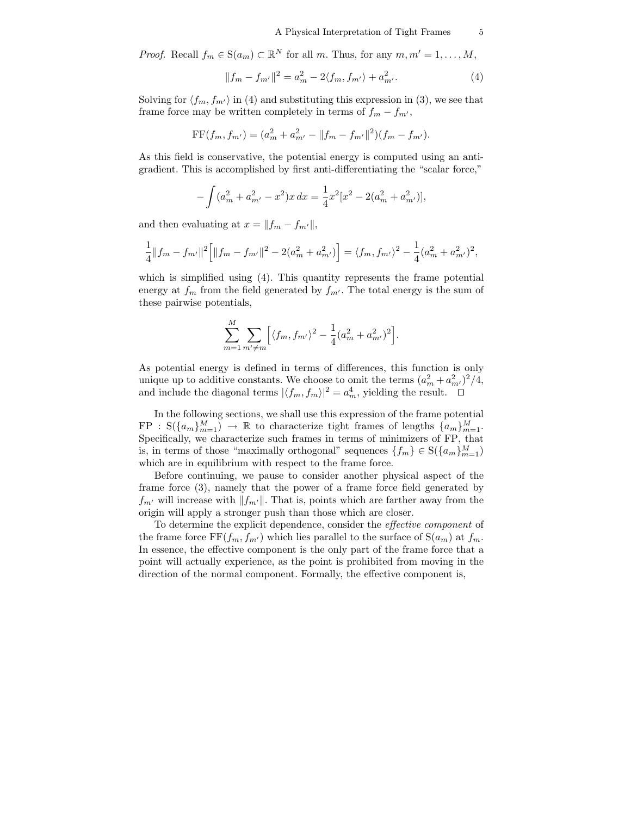*Proof.* Recall  $f_m \in S(a_m) \subset \mathbb{R}^N$  for all m. Thus, for any  $m, m' = 1, \ldots, M$ ,

$$
||f_m - f_{m'}||^2 = a_m^2 - 2\langle f_m, f_{m'} \rangle + a_{m'}^2.
$$
 (4)

Solving for  $\langle f_m, f_{m'} \rangle$  in (4) and substituting this expression in (3), we see that frame force may be written completely in terms of  $f_m - f_{m'}$ ,

$$
FF(f_m, f_{m'}) = (a_m^2 + a_{m'}^2 - ||f_m - f_{m'}||^2)(f_m - f_{m'}).
$$

As this field is conservative, the potential energy is computed using an antigradient. This is accomplished by first anti-differentiating the "scalar force,"

$$
-\int (a_m^2 + a_{m'}^2 - x^2)x \, dx = \frac{1}{4}x^2[x^2 - 2(a_m^2 + a_{m'}^2)],
$$

and then evaluating at  $x = ||f_m - f_{m'}||$ ,

$$
\frac{1}{4}||f_m - f_{m'}||^2 \left[ ||f_m - f_{m'}||^2 - 2(a_m^2 + a_{m'}^2) \right] = \langle f_m, f_{m'} \rangle^2 - \frac{1}{4}(a_m^2 + a_{m'}^2)^2,
$$

which is simplified using  $(4)$ . This quantity represents the frame potential energy at  $f_m$  from the field generated by  $f_{m'}$ . The total energy is the sum of these pairwise potentials,

$$
\sum_{m=1}^{M} \sum_{m' \neq m} \left[ \langle f_m, f_{m'} \rangle^2 - \frac{1}{4} (a_m^2 + a_{m'}^2)^2 \right].
$$

As potential energy is defined in terms of differences, this function is only unique up to additive constants. We choose to omit the terms  $(a_m^2 + a_{m'}^2)^2/4$ , and include the diagonal terms  $|\langle f_m, f_m \rangle|^2 = a_m^4$ , yielding the result.  $\Box$ 

In the following sections, we shall use this expression of the frame potential  $FP: S({a_m}_{m=1}^M) \rightarrow \mathbb{R}$  to characterize tight frames of lengths  ${a_m}_{m=1}^M$ . Specifically, we characterize such frames in terms of minimizers of FP, that is, in terms of those "maximally orthogonal" sequences  $\{f_m\} \in S(\{a_m\}_{m=1}^M)$ which are in equilibrium with respect to the frame force.

Before continuing, we pause to consider another physical aspect of the frame force (3), namely that the power of a frame force field generated by  $f_{m'}$  will increase with  $||f_{m'}||$ . That is, points which are farther away from the origin will apply a stronger push than those which are closer.

To determine the explicit dependence, consider the *effective component* of the frame force  $FF(f_m, f_{m'})$  which lies parallel to the surface of  $S(a_m)$  at  $f_m$ . In essence, the effective component is the only part of the frame force that a point will actually experience, as the point is prohibited from moving in the direction of the normal component. Formally, the effective component is,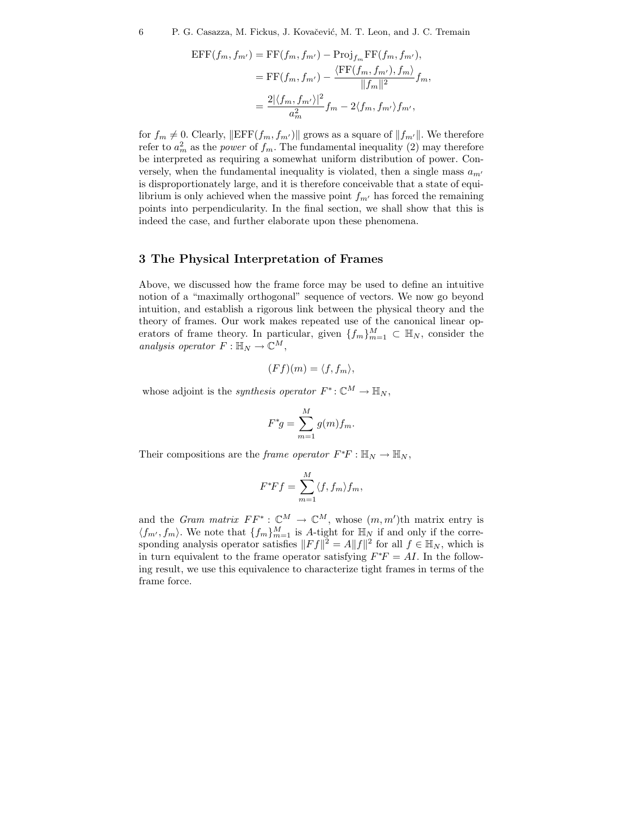$$
\begin{aligned} \text{EFF}(f_m, f_{m'}) &= \text{FF}(f_m, f_{m'}) - \text{Proj}_{f_m} \text{FF}(f_m, f_{m'}), \\ &= \text{FF}(f_m, f_{m'}) - \frac{\langle \text{FF}(f_m, f_{m'}), f_m \rangle}{\|f_m\|^2} f_m, \\ &= \frac{2|\langle f_m, f_{m'} \rangle|^2}{a_m^2} f_m - 2\langle f_m, f_{m'} \rangle f_{m'}, \end{aligned}
$$

for  $f_m \neq 0$ . Clearly,  $\|\text{EFF}(f_m, f_{m'})\|$  grows as a square of  $||f_{m'}||$ . We therefore refer to  $a_m^2$  as the *power* of  $f_m$ . The fundamental inequality (2) may therefore be interpreted as requiring a somewhat uniform distribution of power. Conversely, when the fundamental inequality is violated, then a single mass  $a_{m'}$ is disproportionately large, and it is therefore conceivable that a state of equilibrium is only achieved when the massive point  $f_{m'}$  has forced the remaining points into perpendicularity. In the final section, we shall show that this is indeed the case, and further elaborate upon these phenomena.

### **3 The Physical Interpretation of Frames**

Above, we discussed how the frame force may be used to define an intuitive notion of a "maximally orthogonal" sequence of vectors. We now go beyond intuition, and establish a rigorous link between the physical theory and the theory of frames. Our work makes repeated use of the canonical linear operators of frame theory. In particular, given  $\{f_m\}_{m=1}^M \subset \mathbb{H}_N$ , consider the *analysis operator*  $F: \mathbb{H}_N \to \mathbb{C}^M$ ,

$$
(Ff)(m) = \langle f, f_m \rangle,
$$

whose adjoint is the *synthesis operator*  $F^*$ :  $\mathbb{C}^M \to \mathbb{H}_N$ ,

$$
F^*g = \sum_{m=1}^M g(m)f_m.
$$

Their compositions are the *frame operator*  $F^*F : \mathbb{H}_N \to \mathbb{H}_N$ ,

$$
F^*Ff = \sum_{m=1}^M \langle f, f_m \rangle f_m,
$$

and the *Gram matrix*  $FF^* : \mathbb{C}^M \to \mathbb{C}^M$ , whose  $(m, m')$ th matrix entry is  $\langle f_{m'}, f_m \rangle$ . We note that  $\{f_m\}_{m=1}^M$  is A-tight for  $\mathbb{H}_N$  if and only if the corresponding analysis operator satisfies  $||Ff||^2 = A||f||^2$  for all  $f \in \mathbb{H}_N$ , which is in turn equivalent to the frame operator satisfying  $F^*F = AI$ . In the following result, we use this equivalence to characterize tight frames in terms of the frame force.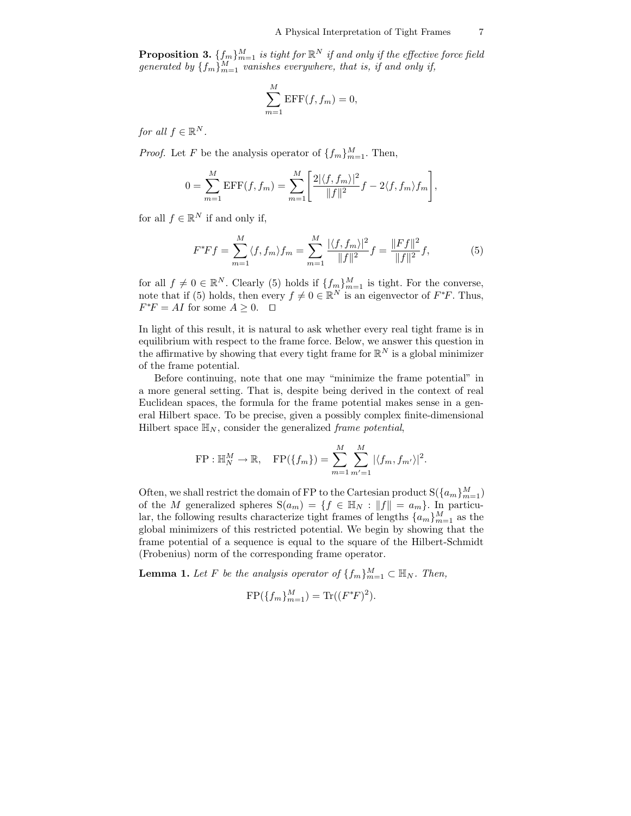**Proposition 3.**  $\{f_m\}_{m=1}^M$  *is tight for*  $\mathbb{R}^N$  *if and only if the effective force field generated by*  $\{f_m\}_{m=1}^M$  *vanishes everywhere, that is, if and only if,* 

$$
\sum_{m=1}^{M} \text{EFF}(f, f_m) = 0,
$$

*for all*  $f \in \mathbb{R}^N$ *.* 

*Proof.* Let F be the analysis operator of  $\{f_m\}_{m=1}^M$ . Then,

$$
0 = \sum_{m=1}^{M} \text{EFF}(f, f_m) = \sum_{m=1}^{M} \left[ \frac{2|\langle f, f_m \rangle|^2}{\|f\|^2} f - 2\langle f, f_m \rangle f_m \right],
$$

for all  $f \in \mathbb{R}^N$  if and only if,

$$
F^*Ff = \sum_{m=1}^M \langle f, f_m \rangle f_m = \sum_{m=1}^M \frac{|\langle f, f_m \rangle|^2}{\|f\|^2} f = \frac{\|Ff\|^2}{\|f\|^2} f,\tag{5}
$$

for all  $f \neq 0 \in \mathbb{R}^N$ . Clearly (5) holds if  $\{f_m\}_{m=1}^M$  is tight. For the converse, note that if (5) holds, then every  $f \neq 0 \in \mathbb{R}^N$  is an eigenvector of  $F^*F$ . Thus,  $F^*F = AI$  for some  $A \geq 0$ .  $\Box$ 

In light of this result, it is natural to ask whether every real tight frame is in equilibrium with respect to the frame force. Below, we answer this question in the affirmative by showing that every tight frame for  $\mathbb{R}^N$  is a global minimizer of the frame potential.

Before continuing, note that one may "minimize the frame potential" in a more general setting. That is, despite being derived in the context of real Euclidean spaces, the formula for the frame potential makes sense in a general Hilbert space. To be precise, given a possibly complex finite-dimensional Hilbert space  $\mathbb{H}_N$ , consider the generalized *frame potential*,

FP: 
$$
\mathbb{H}_{N}^{M} \to \mathbb{R}
$$
, FP( $\{f_{m}\}\$ ) =  $\sum_{m=1}^{M} \sum_{m'=1}^{M} |\langle f_{m}, f_{m'} \rangle|^{2}$ .

Often, we shall restrict the domain of FP to the Cartesian product  $S({a_m}_{m=1}^M)$ of the M generalized spheres  $S(a_m) = \{f \in \mathbb{H}_N : ||f|| = a_m\}$ . In particular, the following results characterize tight frames of lengths  $\{a_m\}_{m=1}^M$  as the global minimizers of this restricted potential. We begin by showing that the frame potential of a sequence is equal to the square of the Hilbert-Schmidt (Frobenius) norm of the corresponding frame operator.

**Lemma 1.** Let F be the analysis operator of  $\{f_m\}_{m=1}^M \subset \mathbb{H}_N$ . Then,

$$
FP({f_m}_{m=1}^M) = Tr({F^*F})^2).
$$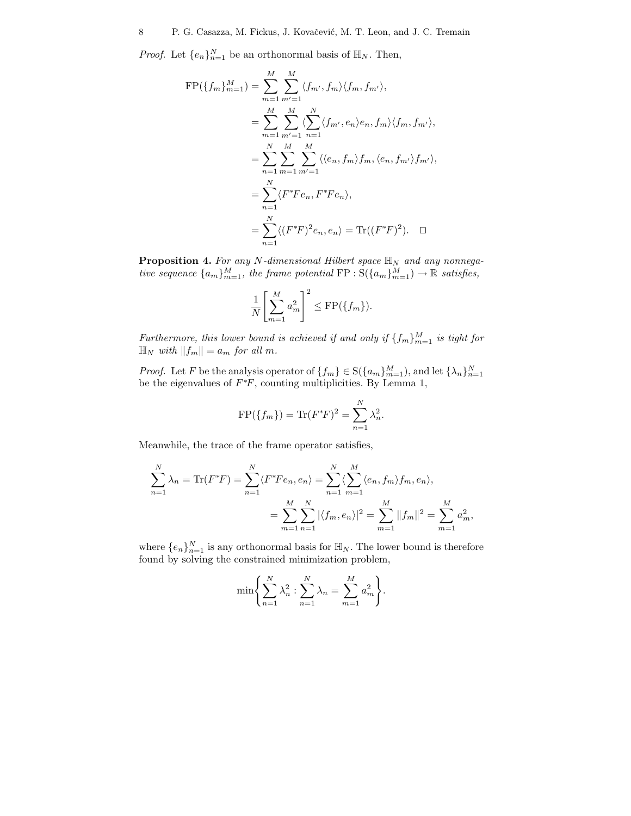*Proof.* Let  $\{e_n\}_{n=1}^N$  be an orthonormal basis of  $\mathbb{H}_N$ . Then,

$$
\begin{split} \text{FP}(\{f_m\}_{m=1}^M) &= \sum_{m=1}^M \sum_{m'=1}^M \langle f_{m'}, f_m \rangle \langle f_m, f_{m'} \rangle, \\ &= \sum_{m=1}^M \sum_{m'=1}^M \langle \sum_{n=1}^N \langle f_{m'}, e_n \rangle e_n, f_m \rangle \langle f_m, f_{m'} \rangle, \\ &= \sum_{n=1}^N \sum_{m=1}^M \sum_{m'=1}^M \langle \langle e_n, f_m \rangle f_m, \langle e_n, f_{m'} \rangle f_{m'} \rangle, \\ &= \sum_{n=1}^N \langle F^* F e_n, F^* F e_n \rangle, \\ &= \sum_{n=1}^N \langle (F^* F)^2 e_n, e_n \rangle = \text{Tr}((F^* F)^2). \quad \Box \end{split}
$$

**Proposition 4.** *For any* N*-dimensional Hilbert space* H*<sup>N</sup> and any nonnegative sequence*  ${a_m}_{m=1}^M$ , *the frame potential*  $\text{FP} : \text{S}( {a_m}_{m=1}^M ) \to \mathbb{R}$  *satisfies,* 

$$
\frac{1}{N} \left[ \sum_{m=1}^{M} a_m^2 \right]^2 \le \text{FP}(\{f_m\}).
$$

*Furthermore, this lower bound is achieved if and only if*  $\{f_m\}_{m=1}^M$  *is tight for*  $\mathbb{H}_N$  with  $||f_m|| = a_m$  for all m.

*Proof.* Let *F* be the analysis operator of  $\{f_m\} \in S(\{a_m\}_{m=1}^M)$ , and let  $\{\lambda_n\}_{n=1}^N$  be the eigenvalues of  $F^*F$ , counting multiplicities. By Lemma 1,

$$
FP({f_m}) = Tr(F^*F)^2 = \sum_{n=1}^{N} \lambda_n^2.
$$

Meanwhile, the trace of the frame operator satisfies,

$$
\sum_{n=1}^{N} \lambda_n = \text{Tr}(F^*F) = \sum_{n=1}^{N} \langle F^*Fe_n, e_n \rangle = \sum_{n=1}^{N} \langle \sum_{m=1}^{M} \langle e_n, f_m \rangle f_m, e_n \rangle,
$$
  
= 
$$
\sum_{m=1}^{M} \sum_{n=1}^{N} |\langle f_m, e_n \rangle|^2 = \sum_{m=1}^{M} ||f_m||^2 = \sum_{m=1}^{M} a_m^2,
$$

where  $\{e_n\}_{n=1}^N$  is any orthonormal basis for  $\mathbb{H}_N$ . The lower bound is therefore found by solving the constrained minimization problem,

$$
\min \bigg\{ \sum_{n=1}^{N} \lambda_n^2 : \sum_{n=1}^{N} \lambda_n = \sum_{m=1}^{M} a_m^2 \bigg\}.
$$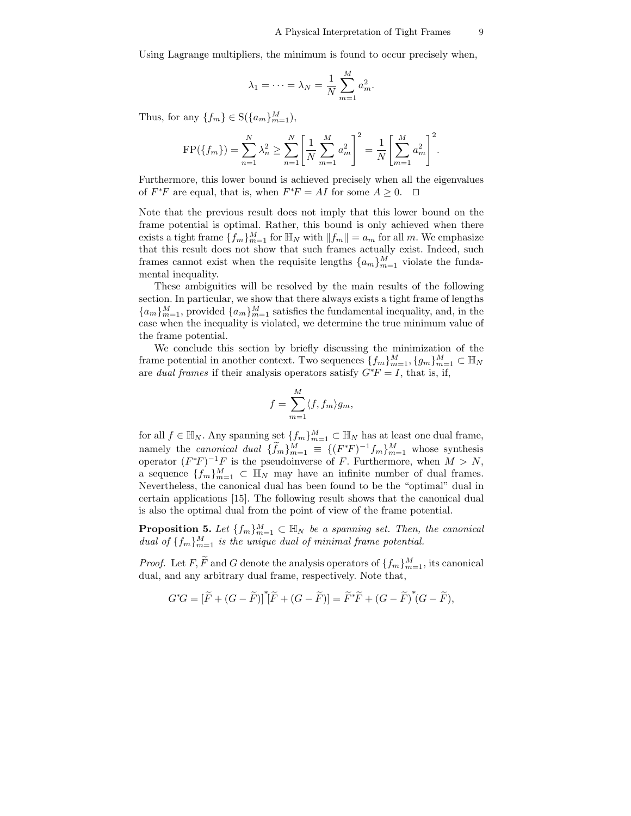Using Lagrange multipliers, the minimum is found to occur precisely when,

$$
\lambda_1 = \dots = \lambda_N = \frac{1}{N} \sum_{m=1}^M a_m^2.
$$

Thus, for any  $\{f_m\} \in S(\{a_m\}_{m=1}^M)$ ,

$$
FP({f_m}) = \sum_{n=1}^{N} \lambda_n^2 \ge \sum_{n=1}^{N} \left[ \frac{1}{N} \sum_{m=1}^{M} a_m^2 \right]^2 = \frac{1}{N} \left[ \sum_{m=1}^{M} a_m^2 \right]^2.
$$

Furthermore, this lower bound is achieved precisely when all the eigenvalues of  $F^*F$  are equal, that is, when  $F^*F = AI$  for some  $A \geq 0$ .  $\Box$ 

Note that the previous result does not imply that this lower bound on the frame potential is optimal. Rather, this bound is only achieved when there exists a tight frame  $\{f_m\}_{m=1}^M$  for  $\mathbb{H}_N$  with  $||f_m|| = a_m$  for all m. We emphasize that this result does not show that such frames actually exist. Indeed, such frames cannot exist when the requisite lengths  $\{a_m\}_{m=1}^M$  violate the fundamental inequality.

These ambiguities will be resolved by the main results of the following section. In particular, we show that there always exists a tight frame of lengths  ${a_m}_{m=1}^M$ , provided  ${a_m}_{m=1}^M$  satisfies the fundamental inequality, and, in the case when the inequality is violated, we determine the true minimum value of the frame potential.

We conclude this section by briefly discussing the minimization of the frame potential in another context. Two sequences  $\{f_m\}_{m=1}^M$ ,  $\{g_m\}_{m=1}^M$   $\subset \mathbb{H}_N$ are *dual frames* if their analysis operators satisfy  $G^*F = I$ , that is, if,

$$
f = \sum_{m=1}^{M} \langle f, f_m \rangle g_m,
$$

for all  $f \in \mathbb{H}_N$ . Any spanning set  $\{f_m\}_{m=1}^M \subset \mathbb{H}_N$  has at least one dual frame, namely the *canonical dual*  $\{f_m\}_{m=1}^M \equiv \{ (F^*F)^{-1}f_m \}_{m=1}^M$  whose synthesis operator  $(F^*F)^{-1}F$  is the pseudoinverse of F. Furthermore, when  $M>N$ , a sequence  $\{f_m\}_{m=1}^M$   $\subset \mathbb{H}_N$  may have an infinite number of dual frames. Nevertheless, the canonical dual has been found to be the "optimal" dual in certain applications [15]. The following result shows that the canonical dual is also the optimal dual from the point of view of the frame potential.

**Proposition 5.** Let  $\{f_m\}_{m=1}^M \subset \mathbb{H}_N$  be a spanning set. Then, the canonical *dual of*  $\{f_m\}_{m=1}^M$  *is the unique dual of minimal frame potential.* 

*Proof.* Let F,  $\tilde{F}$  and G denote the analysis operators of  $\{f_m\}_{m=1}^M$ , its canonical dual, and any arbitrary dual frame, respectively. Note that,

$$
G^*G = \left[\widetilde{F} + (G - \widetilde{F})\right]^* \left[\widetilde{F} + (G - \widetilde{F})\right] = \widetilde{F}^* \widetilde{F} + (G - \widetilde{F})^* (G - \widetilde{F}),
$$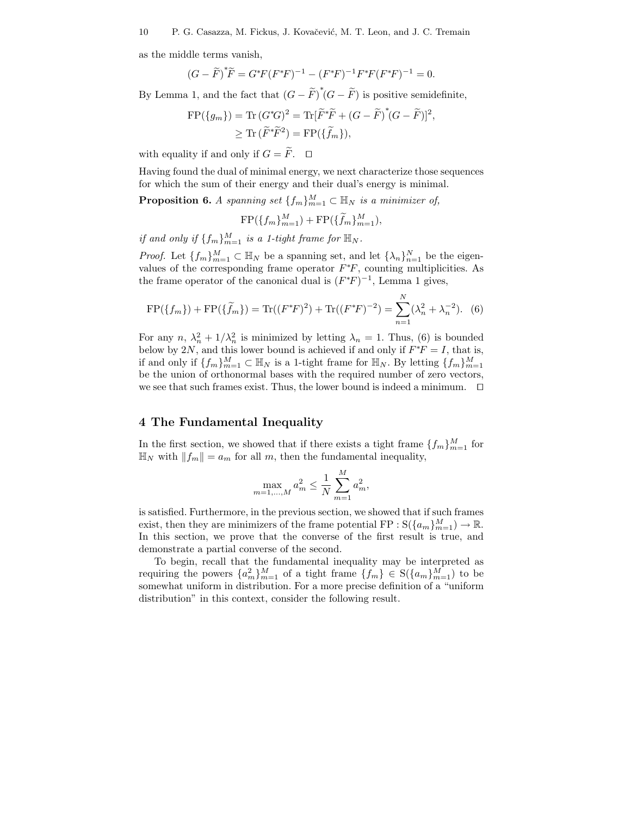as the middle terms vanish,

$$
(G - \widetilde{F})^* \widetilde{F} = G^* F (F^* F)^{-1} - (F^* F)^{-1} F^* F (F^* F)^{-1} = 0.
$$

By Lemma 1, and the fact that  $(G - \widetilde{F})^*(G - \widetilde{F})$  is positive semidefinite,

$$
\begin{aligned} \text{FP}(\{g_m\}) &= \text{Tr}\,(G^*\!G)^2 = \text{Tr}[\widetilde{F}^*\!\widetilde{F} + (G - \widetilde{F})^*(G - \widetilde{F})]^2, \\ &\geq \text{Tr}\,(\widetilde{F}^*\!\widetilde{F}^2) = \text{FP}(\{\widetilde{f}_m\}), \end{aligned}
$$

with equality if and only if  $G = \widetilde{F}$ .  $\Box$ 

Having found the dual of minimal energy, we next characterize those sequences for which the sum of their energy and their dual's energy is minimal.

**Proposition 6.** *A spanning set*  $\{f_m\}_{m=1}^M \subset \mathbb{H}_N$  *is a minimizer of,* 

$$
FP({f_m}_{m=1}^M) + FP({\tilde{f}_m}_{m=1}^M),
$$

*if and only if*  $\{f_m\}_{m=1}^M$  *is a 1-tight frame for*  $\mathbb{H}_N$ *.* 

*Proof.* Let  $\{f_m\}_{m=1}^M \subset \mathbb{H}_N$  be a spanning set, and let  $\{\lambda_n\}_{n=1}^N$  be the eigenvalues of the corresponding frame operator  $F^*F$ , counting multiplicities. As the frame operator of the canonical dual is  $(F^*F)^{-1}$ , Lemma 1 gives,

$$
\text{FP}(\{f_m\}) + \text{FP}(\{\widetilde{f}_m\}) = \text{Tr}((F^*F)^2) + \text{Tr}((F^*F)^{-2}) = \sum_{n=1}^N (\lambda_n^2 + \lambda_n^{-2}).
$$
 (6)

For any  $n, \lambda_n^2 + 1/\lambda_n^2$  is minimized by letting  $\lambda_n = 1$ . Thus, (6) is bounded below by 2N, and this lower bound is achieved if and only if  $F^*F = I$ , that is, if and only if  $\{f_m\}_{m=1}^M \subset \mathbb{H}_N$  is a 1-tight frame for  $\mathbb{H}_N$ . By letting  $\{f_m\}_{m=1}^M$ be the union of orthonormal bases with the required number of zero vectors, we see that such frames exist. Thus, the lower bound is indeed a minimum.  $\Box$ 

### **4 The Fundamental Inequality**

In the first section, we showed that if there exists a tight frame  $\{f_m\}_{m=1}^M$  for  $\mathbb{H}_N$  with  $||f_m|| = a_m$  for all m, then the fundamental inequality,

$$
\max_{m=1,\dots,M} a_m^2 \le \frac{1}{N} \sum_{m=1}^M a_m^2,
$$

is satisfied. Furthermore, in the previous section, we showed that if such frames exist, then they are minimizers of the frame potential  $\text{FP} : \text{S}(\{a_m\}_{m=1}^M) \to \mathbb{R}$ . In this section, we prove that the converse of the first result is true, and demonstrate a partial converse of the second.

To begin, recall that the fundamental inequality may be interpreted as requiring the powers  ${a_m^2}_{m=1}^M$  of a tight frame  ${f_m} \in S({a_m})_{m=1}^M$  to be somewhat uniform in distribution. For a more precise definition of a "uniform distribution" in this context, consider the following result.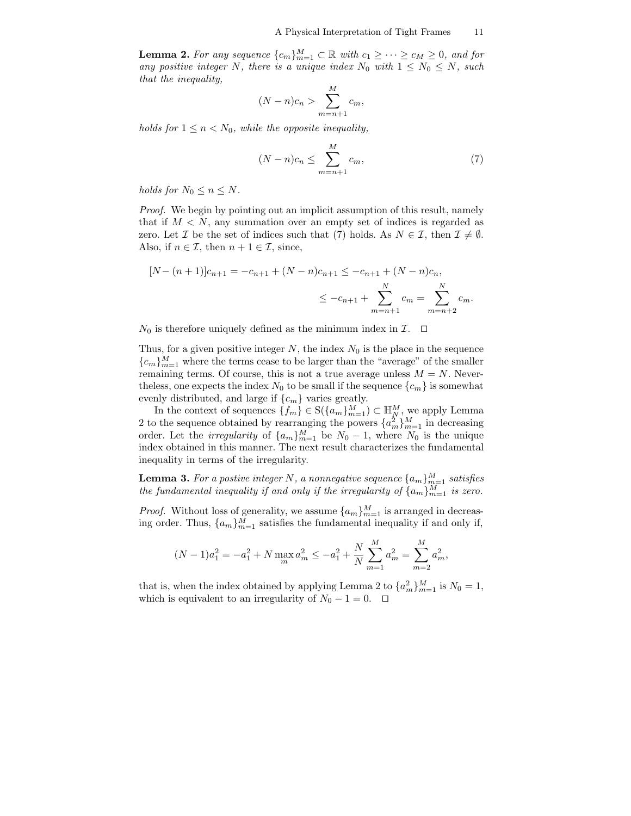**Lemma 2.** For any sequence  ${c_m}_{m=1}^M \subset \mathbb{R}$  with  $c_1 \geq \cdots \geq c_M \geq 0$ , and for *any positive integer* N, there is a unique index  $N_0$  with  $1 \leq N_0 \leq N$ , such *that the inequality, M*

$$
(N-n)c_n > \sum_{m=n+1}^{M} c_m,
$$

*holds for*  $1 \leq n \leq N_0$ *, while the opposite inequality,* 

$$
(N-n)c_n \le \sum_{m=n+1}^{M} c_m,\tag{7}
$$

*holds for*  $N_0 \leq n \leq N$ .

*Proof.* We begin by pointing out an implicit assumption of this result, namely that if  $M < N$ , any summation over an empty set of indices is regarded as zero. Let  $\mathcal I$  be the set of indices such that (7) holds. As  $N \in \mathcal I$ , then  $\mathcal I \neq \emptyset$ . Also, if  $n \in \mathcal{I}$ , then  $n + 1 \in \mathcal{I}$ , since,

$$
[N - (n+1)]c_{n+1} = -c_{n+1} + (N - n)c_{n+1} \le -c_{n+1} + (N - n)c_n,
$$
  

$$
\le -c_{n+1} + \sum_{m=n+1}^{N} c_m = \sum_{m=n+2}^{N} c_m.
$$

 $N_0$  is therefore uniquely defined as the minimum index in  $\mathcal{I}$ .  $\Box$ 

Thus, for a given positive integer  $N$ , the index  $N_0$  is the place in the sequence  ${c_m}_{m=1}^M$  where the terms cease to be larger than the "average" of the smaller remaining terms. Of course, this is not a true average unless  $M = N$ . Neverthe less, one expects the index  $N_0$  to be small if the sequence  $\{c_m\}$  is somewhat evenly distributed, and large if  $\{c_m\}$  varies greatly.

In the context of sequences  $\{f_m\} \in S(\{a_m\}_{m=1}^M) \subset \mathbb{H}_N^M$ , we apply Lemma 2 to the sequence obtained by rearranging the powers  $\{a_m^2\}_{m=1}^M$  in decreasing order. Let the *irregularity* of  $\{a_m\}_{m=1}^M$  be  $N_0 - 1$ , where  $N_0$  is the unique index obtained in this manner. The next result characterizes the fundamental inequality in terms of the irregularity.

**Lemma 3.** *For a postive integer N* , *a nonnegative sequence*  $\{a_m\}_{m=1}^M$  *satisfies the fundamental inequality if and only if the irregularity of*  $\{a_m\}_{m=1}^M$  *is zero.* 

*Proof.* Without loss of generality, we assume  $\{a_m\}_{m=1}^M$  is arranged in decreasing order. Thus,  $\{a_m\}_{m=1}^M$  satisfies the fundamental inequality if and only if,

$$
(N-1)a_1^2 = -a_1^2 + N \max_m a_m^2 \le -a_1^2 + \frac{N}{N} \sum_{m=1}^M a_m^2 = \sum_{m=2}^M a_m^2,
$$

that is, when the index obtained by applying Lemma 2 to  ${a_m^2}_{m=1}^M$  is  $N_0 = 1$ , which is equivalent to an irregularity of  $N_0 - 1 = 0$ .  $\Box$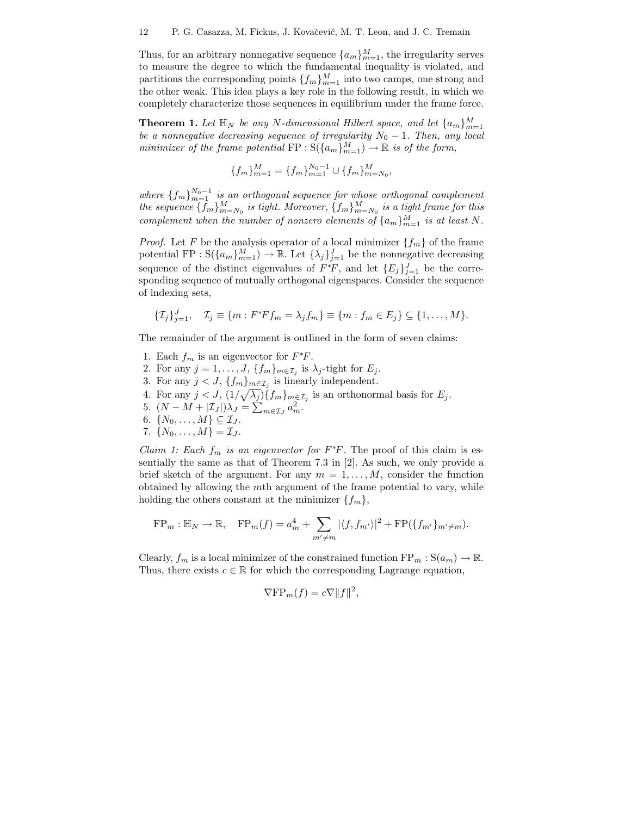Thus, for an arbitrary nonnegative sequence  $\{a_m\}_{m=1}^M$ , the irregularity serves to measure the degree to which the fundamental inequality is violated, and partitions the corresponding points  $\{f_m\}_{m=1}^M$  into two camps, one strong and the other weak. This idea plays a key role in the following result, in which we completely characterize those sequences in equilibrium under the frame force.

**Theorem 1.** Let  $\mathbb{H}_N$  be any N-dimensional Hilbert space, and let  $\{a_m\}_{m=1}^M$ *be a nonnegative decreasing sequence of irregularity*  $N_0 - 1$ *. Then, any local minimizer of the frame potential*  $\text{FP}: S(\{a_m\}_{m=1}^M) \to \mathbb{R}$  *is of the form,* 

$$
\{f_m\}_{m=1}^M=\{f_m\}_{m=1}^{N_0-1}\cup\{f_m\}_{m=N_0}^M,
$$

*where*  ${f_m}_{m=1}^{N_0-1}$  *is an orthogonal sequence for whose orthogonal complement the sequence*  $\{f_m\}_{m=N_0}^M$  *is tight. Moreover,*  $\{f_m\}_{m=N_0}^M$  *is a tight frame for this complement when the number of nonzero elements of*  $\{a_m\}_{m=1}^M$  *is at least* N.

*Proof.* Let F be the analysis operator of a local minimizer  $\{f_m\}$  of the frame potential FP :  $S(\{a_m\}_{m=1}^M) \to \mathbb{R}$ . Let  $\{\lambda_j\}_{j=1}^J$  be the nonnegative decreasing sequence of the distinct eigenvalues of  $F^*F$ , and let  $\{E_j\}_{j=1}^J$  be the corresponding sequence of mutually orthogonal eigenspaces. Consider the sequence of indexing sets,

$$
\{\mathcal{I}_j\}_{j=1}^J, \quad \mathcal{I}_j \equiv \{m : F^*Ff_m = \lambda_j f_m\} \equiv \{m : f_m \in E_j\} \subseteq \{1, \ldots, M\}.
$$

The remainder of the argument is outlined in the form of seven claims:

- 1. Each  $f_m$  is an eigenvector for  $F^*F$ .
- 2. For any  $j = 1, \ldots, J$ ,  $\{f_m\}_{m \in \mathcal{I}_j}$  is  $\lambda_j$ -tight for  $E_j$ .
- 3. For any  $j < J$ ,  $\{f_m\}_{m \in \mathcal{I}_j}$  is linearly independent.
- 4. For any  $j < J$ ,  $(1/\sqrt{\lambda_j})\{f_m\}_{m \in \mathcal{I}_j}$  is an orthonormal basis for  $E_j$ .
- 5.  $(N M + |\mathcal{I}_J|)\lambda_J = \sum_{m \in \mathcal{I}_J} a_m^2$ .
- 6.  $\{N_0,\ldots,M\}\subseteq \mathcal{I}_J$ .
- 7.  $\{N_0, \ldots, M\} = \mathcal{I}_J$ .

*Claim 1: Each*  $f_m$  *is an eigenvector for*  $F^*F$ . The proof of this claim is essentially the same as that of Theorem 7.3 in [2]. As such, we only provide a brief sketch of the argument. For any  $m = 1, \ldots, M$ , consider the function obtained by allowing the mth argument of the frame potential to vary, while holding the others constant at the minimizer  $\{f_m\}$ ,

$$
\text{FP}_m : \mathbb{H}_N \to \mathbb{R}, \quad \text{FP}_m(f) = a_m^4 + \sum_{m' \neq m} |\langle f, f_{m'} \rangle|^2 + \text{FP}(\{f_{m'}\}_{m' \neq m}).
$$

Clearly,  $f_m$  is a local minimizer of the constrained function  $\operatorname{FP}_m : \operatorname{S}(a_m) \to \mathbb{R}$ . Thus, there exists  $c \in \mathbb{R}$  for which the corresponding Lagrange equation,

$$
\nabla \mathbf{F} \mathbf{P}_m(f) = c \nabla ||f||^2,
$$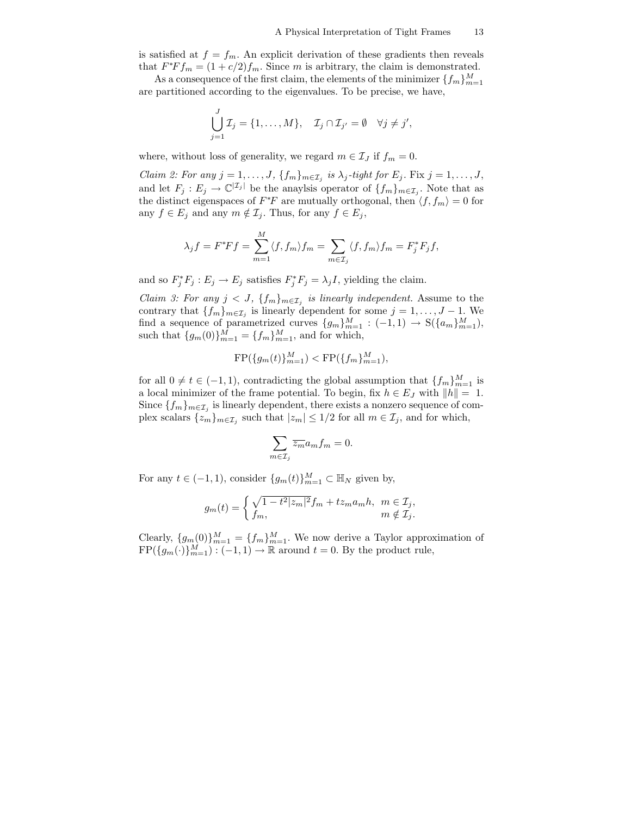is satisfied at  $f = f_m$ . An explicit derivation of these gradients then reveals that  $F^*Ff_m = (1 + c/2)f_m$ . Since m is arbitrary, the claim is demonstrated.

As a consequence of the first claim, the elements of the minimizer  $\{f_m\}_{m=1}^M$ are partitioned according to the eigenvalues. To be precise, we have,

$$
\bigcup_{j=1}^J \mathcal{I}_j = \{1,\ldots,M\}, \quad \mathcal{I}_j \cap \mathcal{I}_{j'} = \emptyset \quad \forall j \neq j',
$$

where, without loss of generality, we regard  $m \in \mathcal{I}_J$  if  $f_m = 0$ .

*Claim 2: For any*  $j = 1, \ldots, J$ ,  $\{f_m\}_{m \in \mathcal{I}_j}$  *is*  $\lambda_j$ -tight for  $E_j$ . Fix  $j = 1, \ldots, J$ , and let  $F_j: E_j \to \mathbb{C}^{|\mathcal{I}_j|}$  be the anaylsis operator of  $\{f_m\}_{m \in \mathcal{I}_j}$ . Note that as the distinct eigenspaces of  $F^*F$  are mutually orthogonal, then  $\langle f, f_m \rangle = 0$  for any  $f \in E_j$  and any  $m \notin \mathcal{I}_j$ . Thus, for any  $f \in E_j$ ,

$$
\lambda_j f = F^*F f = \sum_{m=1}^M \langle f, f_m \rangle f_m = \sum_{m \in \mathcal{I}_j} \langle f, f_m \rangle f_m = F_j^*F_jf,
$$

and so  $F_j^* F_j : E_j \to E_j$  satisfies  $F_j^* F_j = \lambda_j I$ , yielding the claim.

*Claim 3: For any*  $j < J$ ,  $\{f_m\}_{m \in \mathcal{I}_j}$  *is linearly independent.* Assume to the contrary that  $\{f_m\}_{m\in\mathcal{I}_j}$  is linearly dependent for some  $j = 1, \ldots, J - 1$ . We find a sequence of parametrized curves  ${g_m}_{m=1}^M$  :  $(-1,1) \rightarrow S({a_m}_{m=1}^M)$ , such that  ${g_m(0)}_{m=1}^M = {f_m}_{m=1}^M$ , and for which,

$$
FP({g_m(t)}_{m=1}^M) < FP({f_m}_{m=1}^M),
$$

for all  $0 \neq t \in (-1, 1)$ , contradicting the global assumption that  $\{f_m\}_{m=1}^M$  is a local minimizer of the frame potential. To begin, fix  $h \in E_J$  with  $||h|| = 1$ . Since  $\{f_m\}_{m\in\mathcal{I}_j}$  is linearly dependent, there exists a nonzero sequence of complex scalars  $\{z_m\}_{m\in\mathcal{I}_j}$  such that  $|z_m|\leq 1/2$  for all  $m\in\mathcal{I}_j$ , and for which,

$$
\sum_{m \in \mathcal{I}_j} \overline{z_m} a_m f_m = 0.
$$

For any  $t \in (-1, 1)$ , consider  $\{g_m(t)\}_{m=1}^M \subset \mathbb{H}_N$  given by,

$$
g_m(t) = \begin{cases} \sqrt{1 - t^2 |z_m|^2} f_m + t z_m a_m h, & m \in \mathcal{I}_j, \\ f_m, & m \notin \mathcal{I}_j. \end{cases}
$$

Clearly,  ${g_m(0)}_{m=1}^M = {f_m}_{m=1}^M$ . We now derive a Taylor approximation of  $FP({g_m(\cdot)}_{m=1}^M):(-1,1) \to \mathbb{R}$  around  $t = 0$ . By the product rule,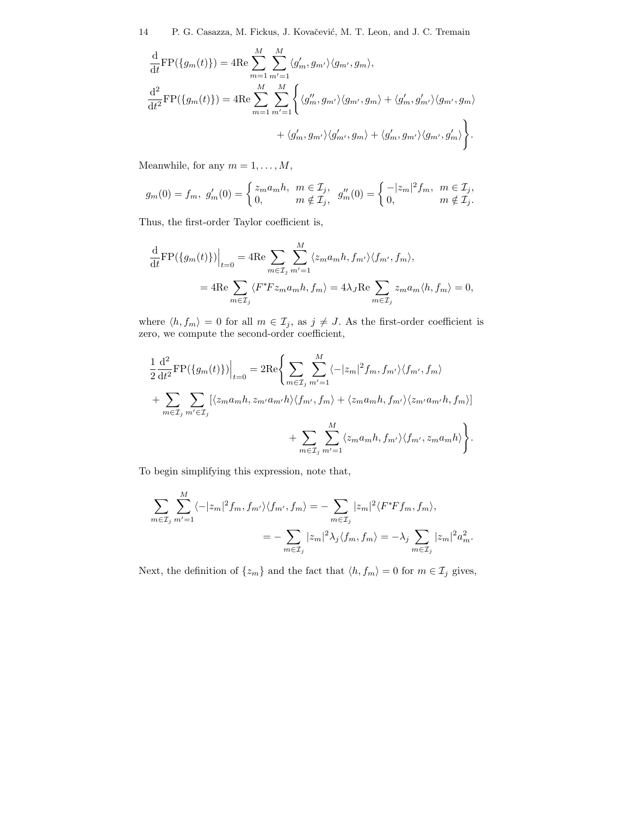$$
\frac{\mathrm{d}}{\mathrm{d}t} \mathrm{FP}(\{g_m(t)\}) = 4 \mathrm{Re} \sum_{m=1}^{M} \sum_{m'=1}^{M} \langle g'_m, g_{m'} \rangle \langle g_{m'}, g_m \rangle,
$$
\n
$$
\frac{\mathrm{d}^2}{\mathrm{d}t^2} \mathrm{FP}(\{g_m(t)\}) = 4 \mathrm{Re} \sum_{m=1}^{M} \sum_{m'=1}^{M} \left\{ \langle g''_m, g_{m'} \rangle \langle g_{m'}, g_m \rangle + \langle g'_m, g'_{m'} \rangle \langle g_{m'}, g_m \rangle + \langle g'_m, g_{m'} \rangle \langle g_{m'}, g'_m \rangle \right\}.
$$

Meanwhile, for any  $m=1,\ldots,M,$ 

$$
g_m(0) = f_m, \ g'_m(0) = \begin{cases} z_m a_m h, & m \in \mathcal{I}_j, \\ 0, & m \notin \mathcal{I}_j, \end{cases} \ g''_m(0) = \begin{cases} -|z_m|^2 f_m, & m \in \mathcal{I}_j, \\ 0, & m \notin \mathcal{I}_j. \end{cases}
$$

Thus, the first-order Taylor coefficient is,

$$
\frac{\mathrm{d}}{\mathrm{d}t} \mathrm{FP}(\{g_m(t)\})\Big|_{t=0} = 4 \mathrm{Re} \sum_{m \in \mathcal{I}_j} \sum_{m'=1}^M \langle z_m a_m h, f_{m'} \rangle \langle f_{m'}, f_m \rangle,
$$
  

$$
= 4 \mathrm{Re} \sum_{m \in \mathcal{I}_j} \langle F^* F z_m a_m h, f_m \rangle = 4 \lambda_J \mathrm{Re} \sum_{m \in \mathcal{I}_j} z_m a_m \langle h, f_m \rangle = 0,
$$

where  $\langle h, f_m \rangle = 0$  for all  $m \in \mathcal{I}_j$ , as  $j \neq J$ . As the first-order coefficient is zero, we compute the second-order coefficient,

$$
\frac{1}{2} \frac{d^2}{dt^2} FP(\lbrace g_m(t) \rbrace) \Big|_{t=0} = 2 \text{Re} \Bigg\{ \sum_{m \in \mathcal{I}_j} \sum_{m'=1}^M \langle -|z_m|^2 f_m, f_{m'} \rangle \langle f_{m'}, f_m \rangle \n+ \sum_{m \in \mathcal{I}_j} \sum_{m' \in \mathcal{I}_j} [\langle z_m a_m h, z_{m'} a_{m'} h \rangle \langle f_{m'}, f_m \rangle + \langle z_m a_m h, f_{m'} \rangle \langle z_{m'} a_{m'} h, f_m \rangle] \n+ \sum_{m \in \mathcal{I}_j} \sum_{m'=1}^M \langle z_m a_m h, f_{m'} \rangle \langle f_{m'}, z_m a_m h \rangle \Bigg\}.
$$

To begin simplifying this expression, note that,

$$
\sum_{m\in\mathcal{I}_j}\sum_{m'=1}^M \langle -|z_m|^2 f_m, f_{m'}\rangle \langle f_{m'}, f_m\rangle = -\sum_{m\in\mathcal{I}_j} |z_m|^2 \langle F^* F f_m, f_m\rangle,
$$
  

$$
= -\sum_{m\in\mathcal{I}_j} |z_m|^2 \lambda_j \langle f_m, f_m\rangle = -\lambda_j \sum_{m\in\mathcal{I}_j} |z_m|^2 a_m^2.
$$

Next, the definition of  $\{z_m\}$  and the fact that  $\langle h, f_m \rangle = 0$  for  $m \in \mathcal{I}_j$  gives,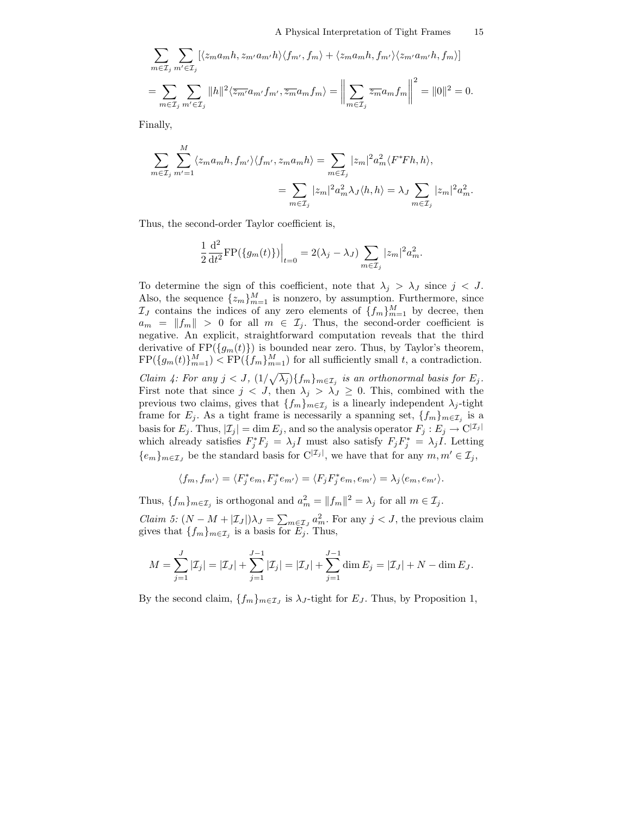$$
\sum_{m\in\mathcal{I}_j} \sum_{m'\in\mathcal{I}_j} [\langle z_m a_m h, z_{m'} a_{m'} h \rangle \langle f_{m'}, f_m \rangle + \langle z_m a_m h, f_{m'} \rangle \langle z_{m'} a_{m'} h, f_m \rangle]
$$
  
= 
$$
\sum_{m\in\mathcal{I}_j} \sum_{m'\in\mathcal{I}_j} \|h\|^2 \langle \overline{z_{m'}} a_{m'} f_{m'}, \overline{z_m} a_m f_m \rangle = \left\| \sum_{m\in\mathcal{I}_j} \overline{z_m} a_m f_m \right\|^2 = \|0\|^2 = 0.
$$

Finally,

$$
\sum_{m\in\mathcal{I}_j}\sum_{m'=1}^M \langle z_m a_m h, f_{m'} \rangle \langle f_{m'}, z_m a_m h \rangle = \sum_{m\in\mathcal{I}_j} |z_m|^2 a_m^2 \langle F^* F h, h \rangle,
$$
  

$$
= \sum_{m\in\mathcal{I}_j} |z_m|^2 a_m^2 \lambda_J \langle h, h \rangle = \lambda_J \sum_{m\in\mathcal{I}_j} |z_m|^2 a_m^2.
$$

Thus, the second-order Taylor coefficient is,

$$
\frac{1}{2} \frac{d^{2}}{dt^{2}} \text{FP}(\{g_{m}(t)\})\Big|_{t=0} = 2(\lambda_{j} - \lambda_{J}) \sum_{m \in \mathcal{I}_{j}} |z_{m}|^{2} a_{m}^{2}.
$$

To determine the sign of this coefficient, note that  $\lambda_j > \lambda_j$  since  $j < J$ . Also, the sequence  $\{z_m\}_{m=1}^M$  is nonzero, by assumption. Furthermore, since  $\mathcal{I}_J$  contains the indices of any zero elements of  $\{f_m\}_{m=1}^M$  by decree, then  $a_m = ||f_m|| > 0$  for all  $m \in \mathcal{I}_j$ . Thus, the second-order coefficient is negative. An explicit, straightforward computation reveals that the third derivative of  $FP({g_m(t)})$  is bounded near zero. Thus, by Taylor's theorem,  $\text{FP}(\{g_m(t)\}_{m=1}^M) < \text{FP}(\{f_m\}_{m=1}^M)$  for all sufficiently small t, a contradiction.

*Claim 4: For any*  $j < J$ ,  $(1/\sqrt{\lambda_j})\{f_m\}_{m \in \mathcal{I}_j}$  *is an orthonormal basis for*  $E_j$ *.* First note that since  $j < J$ , then  $\lambda_j > \lambda_j \geq 0$ . This, combined with the previous two claims, gives that  $\{f_m\}_{m\in\mathcal{I}_j}$  is a linearly independent  $\lambda_j$ -tight frame for  $E_j$ . As a tight frame is necessarily a spanning set,  $\{f_m\}_{m\in\mathcal{I}_j}$  is a basis for  $E_j$ . Thus,  $|\mathcal{I}_j| = \dim E_j$ , and so the analysis operator  $F_j : E_j \to \mathbb{C}^{|\mathcal{I}_j|}$ which already satisfies  $F_j^* F_j = \lambda_j I$  must also satisfy  $F_j F_j^* = \lambda_j I$ . Letting  ${e_m}_{m \in \mathcal{I}_J}$  be the standard basis for  $C^{|\mathcal{I}_j|}$ , we have that for any  $m, m' \in \mathcal{I}_j$ ,

$$
\langle f_m, f_{m'} \rangle = \langle F_j^* e_m, F_j^* e_{m'} \rangle = \langle F_j F_j^* e_m, e_{m'} \rangle = \lambda_j \langle e_m, e_{m'} \rangle.
$$

Thus,  $\{f_m\}_{m \in \mathcal{I}_j}$  is orthogonal and  $a_m^2 = ||f_m||^2 = \lambda_j$  for all  $m \in \mathcal{I}_j$ .

*Claim 5:*  $(N - M + |\mathcal{I}_J|)\lambda_J = \sum_{m \in \mathcal{I}_J} a_m^2$ . For any  $j < J$ , the previous claim gives that  $\{f_m\}_{m\in\mathcal{I}_j}$  is a basis for  $E_j$ . Thus,

$$
M = \sum_{j=1}^{J} |\mathcal{I}_j| = |\mathcal{I}_J| + \sum_{j=1}^{J-1} |\mathcal{I}_j| = |\mathcal{I}_J| + \sum_{j=1}^{J-1} \dim E_j = |\mathcal{I}_J| + N - \dim E_J.
$$

By the second claim,  $\{f_m\}_{m \in \mathcal{I}_J}$  is  $\lambda_J$ -tight for  $E_J$ . Thus, by Proposition 1,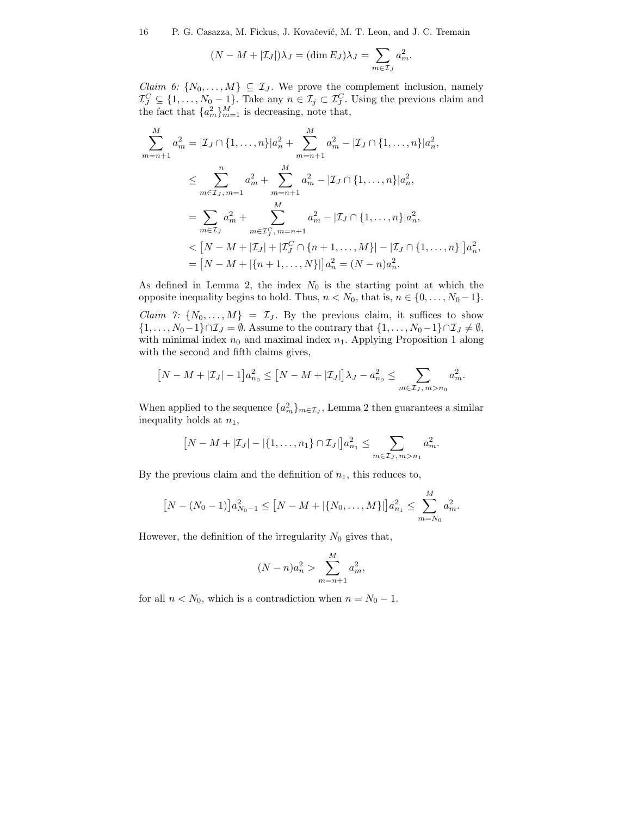$$
(N - M + |\mathcal{I}_J|)\lambda_J = (\dim E_J)\lambda_J = \sum_{m \in \mathcal{I}_J} a_m^2.
$$

*Claim 6:*  $\{N_0, \ldots, M\} \subseteq \mathcal{I}_J$ . We prove the complement inclusion, namely  $\mathcal{I}_{J}^{C} \subseteq \{1, \ldots, N_{0} - 1\}$ . Take any  $n \in \mathcal{I}_{j} \subset \mathcal{I}_{J}^{C}$ . Using the previous claim and the fact that  ${a_m^2}_{m=1}^M$  is decreasing, note that,

$$
\sum_{m=n+1}^{M} a_m^2 = |\mathcal{I}_J \cap \{1, ..., n\}|a_n^2 + \sum_{m=n+1}^{M} a_m^2 - |\mathcal{I}_J \cap \{1, ..., n\}|a_n^2,
$$
\n
$$
\leq \sum_{m \in \mathcal{I}_J, m=1}^{n} a_m^2 + \sum_{m=n+1}^{M} a_m^2 - |\mathcal{I}_J \cap \{1, ..., n\}|a_n^2,
$$
\n
$$
= \sum_{m \in \mathcal{I}_J} a_m^2 + \sum_{m \in \mathcal{I}_J, m=n+1}^{M} a_m^2 - |\mathcal{I}_J \cap \{1, ..., n\}|a_n^2,
$$
\n
$$
< [N - M + |\mathcal{I}_J| + |\mathcal{I}_J^C \cap \{n+1, ..., M\}| - |\mathcal{I}_J \cap \{1, ..., n\}|]a_n^2,
$$
\n
$$
= [N - M + |\{n+1, ..., N\}|]a_n^2 = (N - n)a_n^2.
$$

As defined in Lemma 2, the index  $N_0$  is the starting point at which the opposite inequality begins to hold. Thus,  $n < N_0$ , that is,  $n \in \{0, ..., N_0 - 1\}$ .

*Claim 7:*  $\{N_0, \ldots, M\} = \mathcal{I}_J$ . By the previous claim, it suffices to show  $\{1,\ldots,N_0-1\}\cap\mathcal{I}_J=\emptyset$ . Assume to the contrary that  $\{1,\ldots,N_0-1\}\cap\mathcal{I}_J\neq\emptyset$ , with minimal index  $n_0$  and maximal index  $n_1$ . Applying Proposition 1 along with the second and fifth claims gives,

$$
[N-M+|\mathcal{I}_J|-1]a_{n_0}^2 \leq [N-M+|\mathcal{I}_J|]\lambda_J - a_{n_0}^2 \leq \sum_{m \in \mathcal{I}_J, m > n_0} a_m^2.
$$

When applied to the sequence  $\{a_m^2\}_{m \in \mathcal{I}_J}$ , Lemma 2 then guarantees a similar inequality holds at  $n_1$ ,

$$
[N-M+|\mathcal{I}_J| - |\{1,\ldots,n_1\} \cap \mathcal{I}_J|]a_{n_1}^2 \leq \sum_{m \in \mathcal{I}_J, m > n_1} a_m^2.
$$

By the previous claim and the definition of  $n_1$ , this reduces to,

$$
[N - (N_0 - 1)]a_{N_0 - 1}^2 \le [N - M + |\{N_0, \dots, M\}|]a_{n_1}^2 \le \sum_{m = N_0}^{M} a_m^2.
$$

However, the definition of the irregularity  $N_0$  gives that,

$$
(N-n)a_n^2 > \sum_{m=n+1}^{M} a_m^2,
$$

for all  $n < N_0$ , which is a contradiction when  $n = N_0 - 1$ .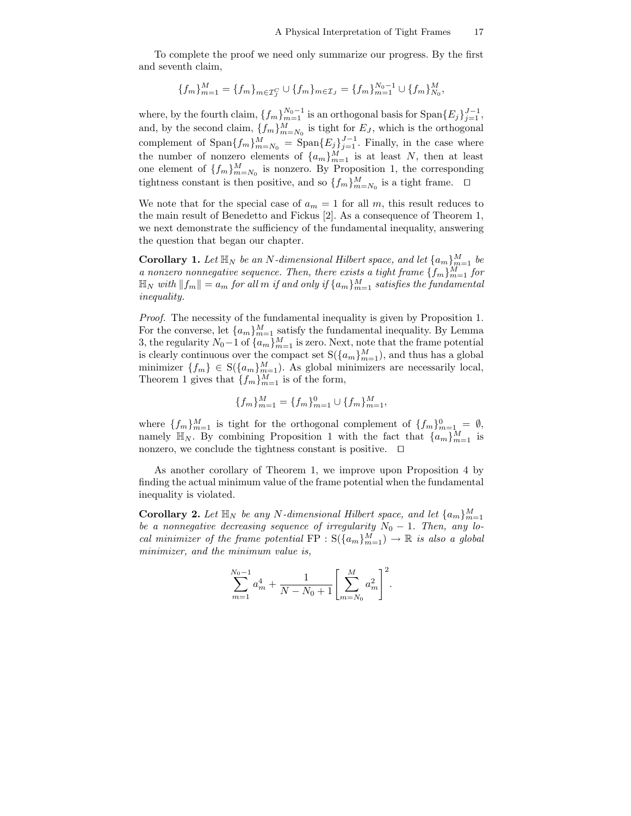To complete the proof we need only summarize our progress. By the first and seventh claim,

$$
\{f_m\}_{m=1}^M = \{f_m\}_{m \in \mathcal{I}_J^C} \cup \{f_m\}_{m \in \mathcal{I}_J} = \{f_m\}_{m=1}^{N_0 - 1} \cup \{f_m\}_{N_0}^M,
$$

where, by the fourth claim,  $\{f_m\}_{m=1}^{N_0-1}$  is an orthogonal basis for  $\text{Span}\{E_j\}_{j=1}^{J-1}$ , and, by the second claim,  $\{f_m\}_{m=N_0}^M$  is tight for  $E_J$ , which is the orthogonal complement of  $\text{Span}\{f_m\}_{m=N_0}^M = \text{Span}\{E_j\}_{j=1}^{J-1}$ . Finally, in the case where the number of nonzero elements of  $\{a_m\}_{m=1}^M$  is at least N, then at least one element of  $\{f_m\}_{m=N_0}^M$  is nonzero. By Proposition 1, the corresponding tightness constant is then positive, and so  $\{f_m\}_{m=N_0}^M$  is a tight frame.  $\Box$ 

We note that for the special case of  $a_m = 1$  for all m, this result reduces to the main result of Benedetto and Fickus [2]. As a consequence of Theorem 1, we next demonstrate the sufficiency of the fundamental inequality, answering the question that began our chapter.

**Corollary 1.** Let  $\mathbb{H}_N$  be an N-dimensional Hilbert space, and let  $\{a_m\}_{m=1}^M$  be *a* nonzero nonnegative sequence. Then, there exists a tight frame  $\{f_m\}_{m=1}^M$  for  $\mathbb{H}_N$  with  $\|f_m\| = a_m$  for all  $m$  if and only if  $\{a_m\}_{m=1}^M$  satisfies the fundamental *inequality.*

*Proof.* The necessity of the fundamental inequality is given by Proposition 1. For the converse, let  ${a_m}_{m=1}^M$  satisfy the fundamental inequality. By Lemma 3, the regularity  $N_0-1$  of  $\{a_m\}_{m=1}^M$  is zero. Next, note that the frame potential is clearly continuous over the compact set  $S({a_m}_{m=1}^M)$ , and thus has a global minimizer  $\{f_m\} \in S(\{a_m\}_{m=1}^M)$ . As global minimizers are necessarily local, Theorem 1 gives that  $\{f_m\}_{m=1}^M$  is of the form,

$$
\{f_m\}_{m=1}^M = \{f_m\}_{m=1}^0 \cup \{f_m\}_{m=1}^M,
$$

where  $\{f_m\}_{m=1}^M$  is tight for the orthogonal complement of  $\{f_m\}_{m=1}^0 = \emptyset$ , namely  $\mathbb{H}_N$ . By combining Proposition 1 with the fact that  $\{a_m\}_{m=1}^M$  is nonzero, we conclude the tightness constant is positive.  $\Box$ 

As another corollary of Theorem 1, we improve upon Proposition 4 by finding the actual minimum value of the frame potential when the fundamental inequality is violated.

**Corollary 2.** Let  $\mathbb{H}_N$  be any N-dimensional Hilbert space, and let  $\{a_m\}_{m=1}^M$ *be a nonnegative decreasing sequence of irregularity*  $N_0 - 1$ *. Then, any local minimizer of the frame potential*  $\text{FP} : \text{S}(\{a_m\}_{m=1}^M) \rightarrow \mathbb{R}$  *is also a global minimizer, and the minimum value is,*

$$
\sum_{m=1}^{N_0-1} a_m^4 + \frac{1}{N - N_0 + 1} \left[ \sum_{m=N_0}^M a_m^2 \right]^2.
$$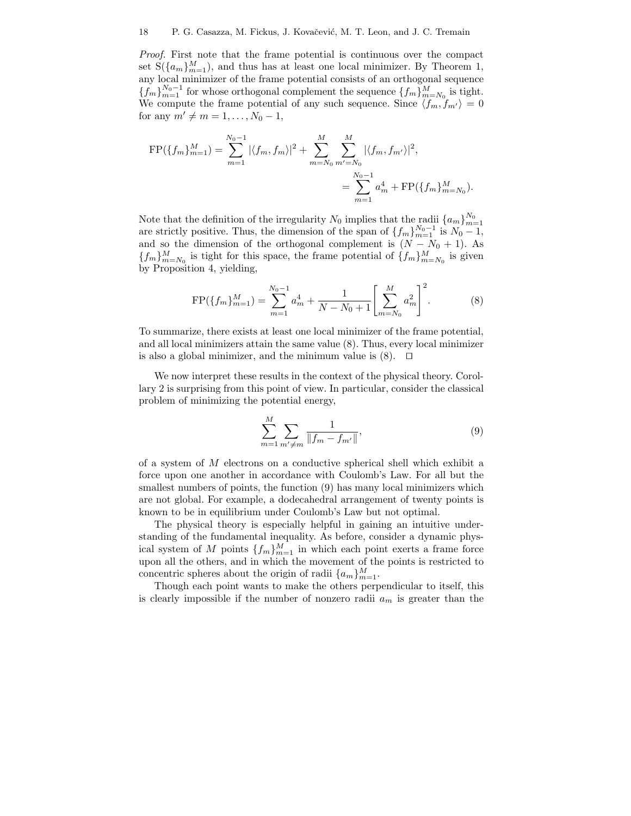*Proof.* First note that the frame potential is continuous over the compact set  $S({a_m}_{m=1}^M)$ , and thus has at least one local minimizer. By Theorem 1, any local minimizer of the frame potential consists of an orthogonal sequence  ${f_m}_{m=1}^{N_0-1}$  for whose orthogonal complement the sequence  ${f_m}_{m=N_0}^M$  is tight. We compute the frame potential of any such sequence. Since  $\langle f_m, f_{m'} \rangle = 0$ for any  $m' \neq m = 1, ..., N_0 - 1$ ,

$$
\begin{aligned} \text{FP}(\{f_m\}_{m=1}^M) &= \sum_{m=1}^{N_0 - 1} |\langle f_m, f_m \rangle|^2 + \sum_{m=N_0}^M \sum_{m'=N_0}^M |\langle f_m, f_{m'} \rangle|^2, \\ &= \sum_{m=1}^{N_0 - 1} a_m^4 + \text{FP}(\{f_m\}_{m=N_0}^M). \end{aligned}
$$

Note that the definition of the irregularity  $N_0$  implies that the radii  $\{a_m\}_{m=1}^{N_0}$ are strictly positive. Thus, the dimension of the span of  $\{f_m\}_{m=1}^{N_0-1}$  is  $N_0-1$ , and so the dimension of the orthogonal complement is  $(N - N_0 + 1)$ . As  ${f_m}_{m=N_0}^M$  is tight for this space, the frame potential of  ${f_m}_{m=N_0}^M$  is given by Proposition 4, yielding,

$$
FP(\lbrace f_m \rbrace_{m=1}^M) = \sum_{m=1}^{N_0 - 1} a_m^4 + \frac{1}{N - N_0 + 1} \left[ \sum_{m=N_0}^M a_m^2 \right]^2.
$$
 (8)

To summarize, there exists at least one local minimizer of the frame potential, and all local minimizers attain the same value (8). Thus, every local minimizer is also a global minimizer, and the minimum value is  $(8)$ .  $\Box$ 

We now interpret these results in the context of the physical theory. Corollary 2 is surprising from this point of view. In particular, consider the classical problem of minimizing the potential energy,

$$
\sum_{m=1}^{M} \sum_{m' \neq m} \frac{1}{\|f_m - f_{m'}\|},\tag{9}
$$

of a system of M electrons on a conductive spherical shell which exhibit a force upon one another in accordance with Coulomb's Law. For all but the smallest numbers of points, the function  $(9)$  has many local minimizers which are not global. For example, a dodecahedral arrangement of twenty points is known to be in equilibrium under Coulomb's Law but not optimal.

The physical theory is especially helpful in gaining an intuitive understanding of the fundamental inequality. As before, consider a dynamic physical system of M points  $\{f_m\}_{m=1}^M$  in which each point exerts a frame force upon all the others, and in which the movement of the points is restricted to concentric spheres about the origin of radii  $\{a_m\}_{m=1}^M$ .

Though each point wants to make the others perpendicular to itself, this is clearly impossible if the number of nonzero radii  $a_m$  is greater than the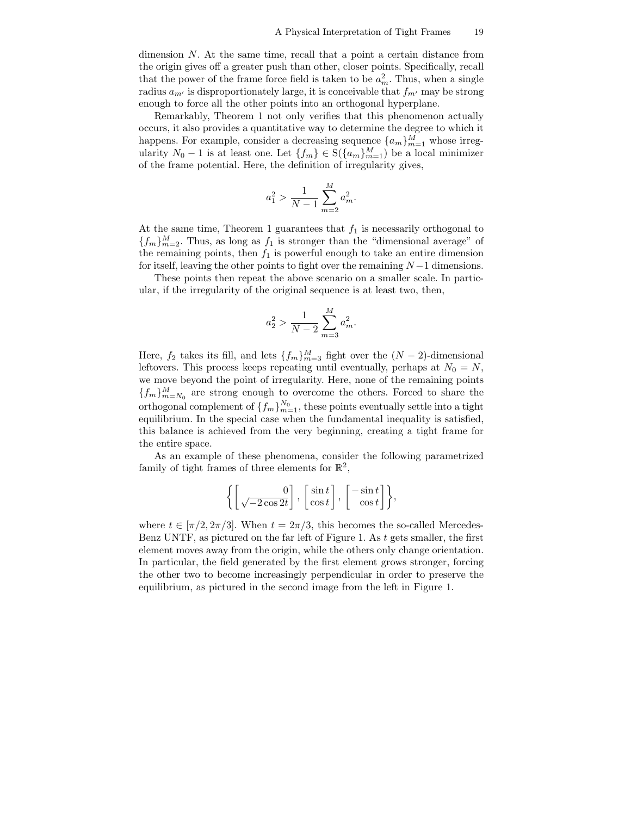dimension  $N$ . At the same time, recall that a point a certain distance from the origin gives off a greater push than other, closer points. Specifically, recall that the power of the frame force field is taken to be  $a_m^2$ . Thus, when a single radius  $a_{m'}$  is disproportionately large, it is conceivable that  $f_{m'}$  may be strong enough to force all the other points into an orthogonal hyperplane.

Remarkably, Theorem 1 not only verifies that this phenomenon actually occurs, it also provides a quantitative way to determine the degree to which it happens. For example, consider a decreasing sequence  $\{a_m\}_{m=1}^M$  whose irregularity  $N_0 - 1$  is at least one. Let  $\{f_m\} \in S(\{a_m\}_{m=1}^M)$  be a local minimizer of the frame potential. Here, the definition of irregularity gives,

$$
a_1^2 > \frac{1}{N-1} \sum_{m=2}^{M} a_m^2.
$$

At the same time, Theorem 1 guarantees that  $f_1$  is necessarily orthogonal to  ${f_m}_{m=2}^M$ . Thus, as long as  $f_1$  is stronger than the "dimensional average" of the remaining points, then  $f_1$  is powerful enough to take an entire dimension for itself, leaving the other points to fight over the remaining  $N-1$  dimensions.

These points then repeat the above scenario on a smaller scale. In particular, if the irregularity of the original sequence is at least two, then,

$$
a_2^2 > \frac{1}{N-2} \sum_{m=3}^{M} a_m^2.
$$

Here,  $f_2$  takes its fill, and lets  $\{f_m\}_{m=3}^M$  fight over the  $(N-2)$ -dimensional leftovers. This process keeps repeating until eventually, perhaps at  $N_0 = N$ , we move beyond the point of irregularity. Here, none of the remaining points  ${f_m}_{m=N_0}^M$  are strong enough to overcome the others. Forced to share the orthogonal complement of  $\{f_m\}_{m=1}^{N_0}$ , these points eventually settle into a tight equilibrium. In the special case when the fundamental inequality is satisfied, this balance is achieved from the very beginning, creating a tight frame for the entire space.

As an example of these phenomena, consider the following parametrized family of tight frames of three elements for  $\mathbb{R}^2$ ,

$$
\left\{\left[\frac{0}{\sqrt{-2\cos 2t}}\right], \, \left[\frac{\sin t}{\cos t}\right], \, \left[-\frac{\sin t}{\cos t}\right]\right\},
$$

where  $t \in [\pi/2, 2\pi/3]$ . When  $t = 2\pi/3$ , this becomes the so-called Mercedes-Benz UNTF, as pictured on the far left of Figure 1. As  $t$  gets smaller, the first element moves away from the origin, while the others only change orientation. In particular, the field generated by the first element grows stronger, forcing the other two to become increasingly perpendicular in order to preserve the equilibrium, as pictured in the second image from the left in Figure 1.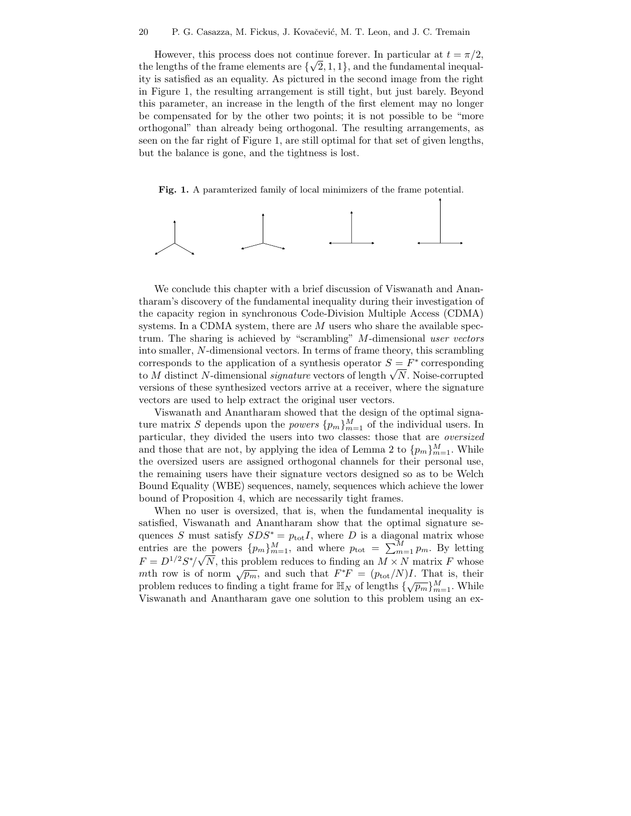However, this process does not continue forever. In particular at  $t = \pi/2$ , the lengths of the frame elements are  $\{\sqrt{2}, 1, 1\}$ , and the fundamental inequality is satisfied as an equality. As pictured in the second image from the right in Figure 1, the resulting arrangement is still tight, but just barely. Beyond this parameter, an increase in the length of the first element may no longer be compensated for by the other two points; it is not possible to be "more orthogonal" than already being orthogonal. The resulting arrangements, as seen on the far right of Figure 1, are still optimal for that set of given lengths, but the balance is gone, and the tightness is lost.

**Fig. 1.** A paramterized family of local minimizers of the frame potential.



We conclude this chapter with a brief discussion of Viswanath and Anantharam's discovery of the fundamental inequality during their investigation of the capacity region in synchronous Code-Division Multiple Access (CDMA) systems. In a CDMA system, there are  $M$  users who share the available spectrum. The sharing is achieved by "scrambling" M-dimensional *user vectors* into smaller, N-dimensional vectors. In terms of frame theory, this scrambling corresponds to the application of a synthesis operator  $S = F^*$  corresponding to M distinct N-dimensional *signature* vectors of length  $\sqrt{N}$ . Noise-corrupted to M distinct N-dimensional *signature* vectors of length  $\sqrt{N}$ . Noise-corrupted versions of these synthesized vectors arrive at a receiver, where the signature vectors are used to help extract the original user vectors.

Viswanath and Anantharam showed that the design of the optimal signature matrix S depends upon the *powers*  $\{p_m\}_{m=1}^M$  of the individual users. In particular, they divided the users into two classes: those that are *oversized* and those that are not, by applying the idea of Lemma 2 to  $\{p_m\}_{m=1}^M$ . While the oversized users are assigned orthogonal channels for their personal use, the remaining users have their signature vectors designed so as to be Welch Bound Equality (WBE) sequences, namely, sequences which achieve the lower bound of Proposition 4, which are necessarily tight frames.

When no user is oversized, that is, when the fundamental inequality is satisfied, Viswanath and Anantharam show that the optimal signature sequences S must satisfy  $SDS^* = p_{tot}I$ , where D is a diagonal matrix whose entries are the powers  $\{p_m\}_{m=1}^M$ , and where  $p_{\text{tot}} = \sum_{m=1}^M p_m$ . By letting  $F = D^{1/2} S^* / \sqrt{N}$ , this problem reduces to finding an  $M \times N$  matrix F whose  $m \to \infty$  / y *N*, this problem reduces to inding an  $M \times N$  matrix P whose<br>mth row is of norm  $\sqrt{p_m}$ , and such that  $F^*F = (p_{\text{tot}}/N)I$ . That is, their problem reduces to finding a tight frame for  $\mathbb{H}_N$  of lengths  $\{\sqrt{p_m}\}_{m=1}^M$ . While Viswanath and Anantharam gave one solution to this problem using an ex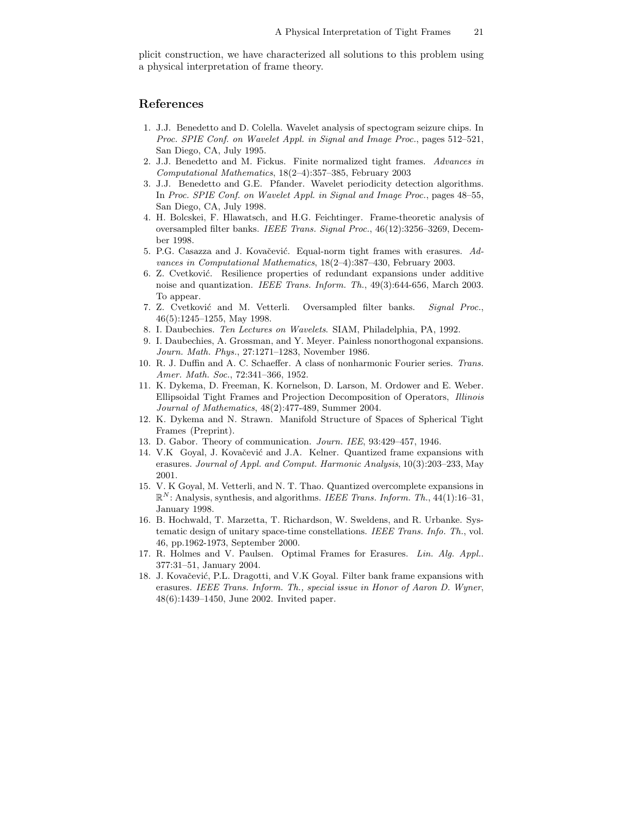plicit construction, we have characterized all solutions to this problem using a physical interpretation of frame theory.

#### **References**

- 1. J.J. Benedetto and D. Colella. Wavelet analysis of spectogram seizure chips. In *Proc. SPIE Conf. on Wavelet Appl. in Signal and Image Proc.*, pages 512–521, San Diego, CA, July 1995.
- 2. J.J. Benedetto and M. Fickus. Finite normalized tight frames. *Advances in Computational Mathematics*, 18(2–4):357–385, February 2003
- 3. J.J. Benedetto and G.E. Pfander. Wavelet periodicity detection algorithms. In *Proc. SPIE Conf. on Wavelet Appl. in Signal and Image Proc.*, pages 48–55, San Diego, CA, July 1998.
- 4. H. Bolcskei, F. Hlawatsch, and H.G. Feichtinger. Frame-theoretic analysis of oversampled filter banks. *IEEE Trans. Signal Proc.*, 46(12):3256–3269, December 1998.
- 5. P.G. Casazza and J. Kovačević. Equal-norm tight frames with erasures. Ad*vances in Computational Mathematics*, 18(2–4):387–430, February 2003.
- 6. Z. Cvetković. Resilience properties of redundant expansions under additive noise and quantization. *IEEE Trans. Inform. Th.*, 49(3):644-656, March 2003. To appear.
- 7. Z. Cvetkovi´c and M. Vetterli. Oversampled filter banks. *Signal Proc.*, 46(5):1245–1255, May 1998.
- 8. I. Daubechies. *Ten Lectures on Wavelets*. SIAM, Philadelphia, PA, 1992.
- 9. I. Daubechies, A. Grossman, and Y. Meyer. Painless nonorthogonal expansions. *Journ. Math. Phys.*, 27:1271–1283, November 1986.
- 10. R. J. Duffin and A. C. Schaeffer. A class of nonharmonic Fourier series. *Trans. Amer. Math. Soc.*, 72:341–366, 1952.
- 11. K. Dykema, D. Freeman, K. Kornelson, D. Larson, M. Ordower and E. Weber. Ellipsoidal Tight Frames and Projection Decomposition of Operators, *Illinois Journal of Mathematics*, 48(2):477-489, Summer 2004.
- 12. K. Dykema and N. Strawn. Manifold Structure of Spaces of Spherical Tight Frames (Preprint).
- 13. D. Gabor. Theory of communication. *Journ. IEE*, 93:429–457, 1946.
- 14. V.K Goyal, J. Kovačević and J.A. Kelner. Quantized frame expansions with erasures. *Journal of Appl. and Comput. Harmonic Analysis*, 10(3):203–233, May 2001.
- 15. V. K Goyal, M. Vetterli, and N. T. Thao. Quantized overcomplete expansions in  $\mathbb{R}^N$ : Analysis, synthesis, and algorithms. *IEEE Trans. Inform. Th.*, 44(1):16–31, January 1998.
- 16. B. Hochwald, T. Marzetta, T. Richardson, W. Sweldens, and R. Urbanke. Systematic design of unitary space-time constellations. *IEEE Trans. Info. Th.*, vol. 46, pp.1962-1973, September 2000.
- 17. R. Holmes and V. Paulsen. Optimal Frames for Erasures. *Lin. Alg. Appl.*. 377:31–51, January 2004.
- 18. J. Kovačević, P.L. Dragotti, and V.K Goyal. Filter bank frame expansions with erasures. *IEEE Trans. Inform. Th., special issue in Honor of Aaron D. Wyner*, 48(6):1439–1450, June 2002. Invited paper.